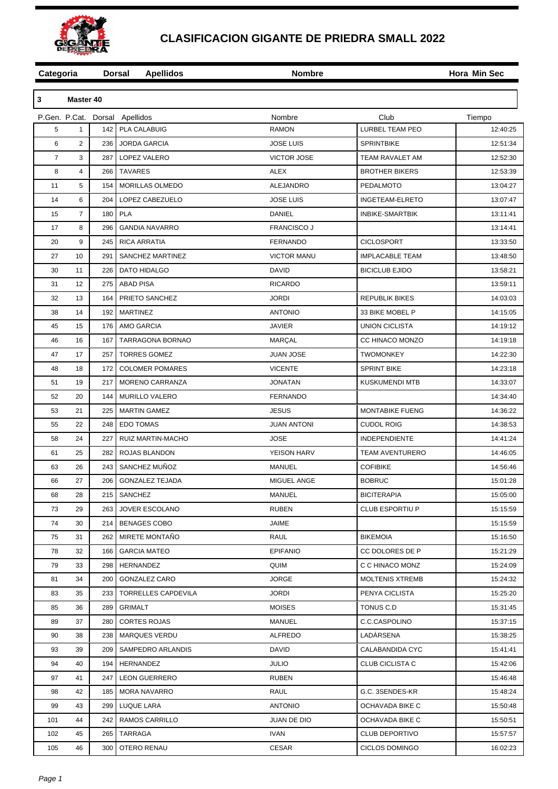

## **CLASIFICACION GIGANTE DE PRIEDRA SMALL 2022**

| Categoria      |                |                  | <b>Dorsal</b><br><b>Apellidos</b> | <b>Nombre</b>      |                        | Hora Min Sec |  |
|----------------|----------------|------------------|-----------------------------------|--------------------|------------------------|--------------|--|
|                |                |                  |                                   |                    |                        |              |  |
| 3              | Master 40      |                  |                                   |                    |                        |              |  |
|                |                |                  | P.Gen. P.Cat. Dorsal Apellidos    | Nombre             | Club                   | Tiempo       |  |
| 5              | $\mathbf{1}$   | 142 l            | PLA CALABUIG                      | <b>RAMON</b>       | LURBEL TEAM PEO        | 12:40:25     |  |
| 6              | $\overline{2}$ | 236              | <b>JORDA GARCIA</b>               | <b>JOSE LUIS</b>   | <b>SPRINTBIKE</b>      | 12:51:34     |  |
| $\overline{7}$ | 3              | 287              | LOPEZ VALERO                      | <b>VICTOR JOSE</b> | TEAM RAVALET AM        | 12:52:30     |  |
| 8              | 4              | 266              | <b>TAVARES</b>                    | <b>ALEX</b>        | <b>BROTHER BIKERS</b>  | 12:53:39     |  |
| 11             | 5              | 154              | MORILLAS OLMEDO                   | ALEJANDRO          | <b>PEDALMOTO</b>       | 13:04:27     |  |
| 14             | 6              | 204              | LOPEZ CABEZUELO                   | <b>JOSE LUIS</b>   | INGETEAM-ELRETO        | 13:07:47     |  |
| 15             | $\overline{7}$ | 180              | <b>PLA</b>                        | <b>DANIEL</b>      | INBIKE-SMARTBIK        | 13:11:41     |  |
| 17             | 8              | 296              | <b>GANDIA NAVARRO</b>             | <b>FRANCISCO J</b> |                        | 13:14:41     |  |
| 20             | 9              | 245              | RICA ARRATIA                      | <b>FERNANDO</b>    | <b>CICLOSPORT</b>      | 13:33:50     |  |
| 27             | 10             | 291              | SANCHEZ MARTINEZ                  | <b>VICTOR MANU</b> | <b>IMPLACABLE TEAM</b> | 13:48:50     |  |
| 30             | 11             | 226              | <b>DATO HIDALGO</b>               | <b>DAVID</b>       | <b>BICICLUB EJIDO</b>  | 13:58:21     |  |
| 31             | 12             | 275              | <b>ABAD PISA</b>                  | <b>RICARDO</b>     |                        | 13:59:11     |  |
| 32             | 13             | 164              | PRIETO SANCHEZ                    | <b>JORDI</b>       | <b>REPUBLIK BIKES</b>  | 14:03:03     |  |
| 38             | 14             | 192              | <b>MARTINEZ</b>                   | <b>ANTONIO</b>     | 33 BIKE MOBEL P        | 14:15:05     |  |
| 45             | 15             | 176              | <b>AMO GARCIA</b>                 | <b>JAVIER</b>      | <b>UNION CICLISTA</b>  | 14:19:12     |  |
| 46             | 16             | 167              | TARRAGONA BORNAO                  | <b>MARÇAL</b>      | CC HINACO MONZO        | 14:19:18     |  |
| 47             | 17             | 257              | <b>TORRES GOMEZ</b>               | <b>JUAN JOSE</b>   | <b>TWOMONKEY</b>       | 14:22:30     |  |
| 48             | 18             | 172              | <b>COLOMER POMARES</b>            | <b>VICENTE</b>     | <b>SPRINT BIKE</b>     | 14:23:18     |  |
| 51             | 19             | 217              | MORENO CARRANZA                   | <b>JONATAN</b>     | <b>KUSKUMENDI MTB</b>  | 14:33:07     |  |
| 52             | 20             | 144              | MURILLO VALERO                    | <b>FERNANDO</b>    |                        | 14:34:40     |  |
| 53             | 21             | 225              | <b>MARTIN GAMEZ</b>               | <b>JESUS</b>       | <b>MONTABIKE FUENG</b> | 14:36:22     |  |
| 55             | 22             | 248              | <b>EDO TOMAS</b>                  | <b>JUAN ANTONI</b> | <b>CUDOL ROIG</b>      | 14:38:53     |  |
| 58             | 24             | 227              | RUIZ MARTIN-MACHO                 | <b>JOSE</b>        | INDEPENDIENTE          | 14:41:24     |  |
| 61             | 25             | 282              | ROJAS BLANDON                     | YEISON HARV        | <b>TEAM AVENTURERO</b> | 14:46:05     |  |
| 63             | 26             | 243              | SANCHEZ MUÑOZ                     | <b>MANUEL</b>      | <b>COFIBIKE</b>        | 14:56:46     |  |
| 66             | 27             | 206              | <b>GONZALEZ TEJADA</b>            | MIGUEL ANGE        | <b>BOBRUC</b>          | 15:01:28     |  |
| 68             | 28             |                  | 215   SANCHEZ                     | MANUEL             | <b>BICITERAPIA</b>     | 15:05:00     |  |
| 73             | 29             |                  | 263 JOVER ESCOLANO                | <b>RUBEN</b>       | <b>CLUB ESPORTIU P</b> | 15:15:59     |  |
| 74             | 30             | 214              | <b>BENAGES COBO</b>               | JAIME              |                        | 15:15:59     |  |
| 75             | 31             |                  | 262   MIRETE MONTAÑO              | RAUL               | <b>BIKEMOIA</b>        | 15:16:50     |  |
| 78             | 32             | 166 I            | <b>GARCIA MATEO</b>               | <b>EPIFANIO</b>    | CC DOLORES DE P        | 15:21:29     |  |
| 79             | 33             |                  | 298   HERNANDEZ                   | QUIM               | C C HINACO MONZ        | 15:24:09     |  |
| 81             | 34             | 200              | GONZALEZ CARO                     | <b>JORGE</b>       | <b>MOLTENIS XTREMB</b> | 15:24:32     |  |
| 83             | 35             |                  | 233   TORRELLES CAPDEVILA         | <b>JORDI</b>       | PENYA CICLISTA         | 15:25:20     |  |
| 85             | 36             | 289              | GRIMALT                           | <b>MOISES</b>      | TONUS C.D              | 15:31:45     |  |
| 89             | 37             |                  | 280   CORTES ROJAS                | MANUEL             | C.C.CASPOLINO          | 15:37:15     |  |
| 90             | 38             |                  | 238   MARQUES VERDU               | <b>ALFREDO</b>     | LADÁRSENA              | 15:38:25     |  |
| 93             | 39             |                  | 209   SAMPEDRO ARLANDIS           | DAVID              | CALABANDIDA CYC        | 15:41:41     |  |
| 94             | 40             | 194              | HERNANDEZ                         | <b>JULIO</b>       | CLUB CICLISTA C        | 15:42:06     |  |
|                | 41             |                  |                                   |                    |                        |              |  |
| 97             |                |                  | 247   LEON GUERRERO               | <b>RUBEN</b>       |                        | 15:46:48     |  |
| 98             | 42             |                  | 185   MORA NAVARRO                | RAUL               | G.C. 3SENDES-KR        | 15:48:24     |  |
| 99             | 43             |                  | 299   LUQUE LARA                  | <b>ANTONIO</b>     | OCHAVADA BIKE C        | 15:50:48     |  |
| 101            | 44             |                  | 242   RAMOS CARRILLO              | JUAN DE DIO        | OCHAVADA BIKE C        | 15:50:51     |  |
| 102            | 45             |                  | 265   TARRAGA                     | <b>IVAN</b>        | <b>CLUB DEPORTIVO</b>  | 15:57:57     |  |
| 105            | 46             | 300 <sub>1</sub> | OTERO RENAU                       | CESAR              | CICLOS DOMINGO         | 16:02:23     |  |